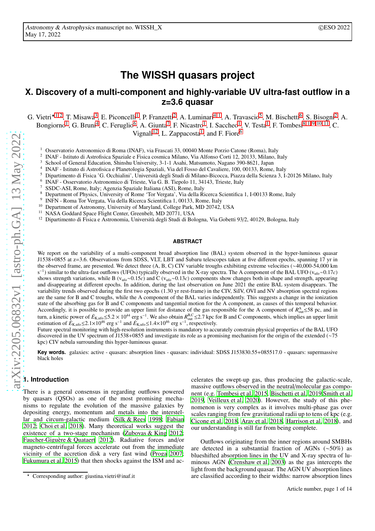# **The WISSH quasars project**

# **X. Discovery of a multi-component and highly-variable UV ultra-fast outflow in a z=3.6 quasar**

G. Vietri $\star$ <sup>[1](#page-0-0),[2](#page-0-1)</sup>, T. Misawa<sup>[3](#page-0-2)</sup>, E. Piconcelli<sup>1</sup>, P. Franzetti<sup>2</sup>, A. Luminari<sup>[4](#page-0-3), 1</sup>, A. Travascio<sup>[5](#page-0-4)</sup>, M. Bischetti<sup>[6](#page-0-5)</sup>, S. Bisogni<sup>2</sup>, A. Bongiorno<sup>[1](#page-0-0)</sup>, G. Bruni<sup>[4](#page-0-3)</sup>, C. Feruglio<sup>[6](#page-0-5)</sup>, A. Giunta<sup>[7](#page-0-6)</sup>, F. Nicastro<sup>1</sup>, I. Saccheo<sup>1</sup>, V. Testa<sup>1</sup>, F. Tombesi<sup>[8](#page-0-7), 1, [9](#page-0-8), [10](#page-0-9), [11](#page-0-10)</sup>, C. Vignali<sup>[12](#page-0-11)</sup>, L. Zappacosta<sup>[1](#page-0-0)</sup>, and F. Fiore<sup>[6](#page-0-5)</sup>

<span id="page-0-0"></span><sup>1</sup> Osservatorio Astronomico di Roma (INAF), via Frascati 33, 00040 Monte Porzio Catone (Roma), Italy

<span id="page-0-2"></span><span id="page-0-1"></span>2 INAF - Istituto di Astrofisica Spaziale e Fisica cosmica Milano, Via Alfonso Corti 12, 20133, Milano, Italy

<span id="page-0-3"></span><sup>3</sup> School of General Education, Shinshu University, 3-1-1 Asahi, Matsumoto, Nagano 390-8621, Japan

<span id="page-0-4"></span>4 INAF - Istituto di Astrofisica e Planetologia Spaziali, Via del Fosso del Cavaliere, 100, 00133, Rome, Italy

<sup>5</sup> Dipartimento di Fisica 'G. Occhialini', Università degli Studi di Milano-Bicocca, Piazza della Scienza 3, I-20126 Milano, Italy

<span id="page-0-6"></span><span id="page-0-5"></span>6 INAF - Osservatorio Astronomico di Trieste, Via G. B. Tiepolo 11, 34143, Trieste, Italy

<span id="page-0-7"></span><sup>7</sup> SSDC-ASI, Rome, Italy; Agenzia Spaziale Italiana (ASI), Rome, Italy

<span id="page-0-8"></span><sup>8</sup> Department of Physics, University of Rome 'Tor Vergata', Via della Ricerca Scientifica 1, I-00133 Rome, Italy

 $\alpha$ INFN - Roma Tor Vergata, Via della Ricerca Scientifica 1, 00133, Rome, Italy

<span id="page-0-10"></span><span id="page-0-9"></span><sup>10</sup> Department of Astronomy, University of Maryland, College Park, MD 20742, USA

<span id="page-0-11"></span><sup>11</sup> NASA Goddard Space Flight Center, Greenbelt, MD 20771, USA

<sup>12</sup> Dipartimento di Fisica e Astronomia, Università degli Studi di Bologna, Via Gobetti 93/2, 40129, Bologna, Italy

#### **ABSTRACT**

We report on the variability of a multi-component broad absorption line (BAL) system observed in the hyper-luminous quasar J1538+0855 at z=3.6. Observations from SDSS, VLT, LBT and Subaru telescopes taken at five different epochs, spanning 17 yr in the observed frame, are presented. We detect three (A, B, C) CIV variable troughs exhibiting extreme velocities (∼40,000-54,000 km s<sup>-1</sup>) similar to the ultra-fast outflows (UFOs) typically observed in the X-ray spectra. The A component of the BAL UFO (v<sub>ufo</sub>∼0.17*c*) shows strength variations, while B (vufo∼0.15*c*) and C (vufo∼0.13*c*) components show changes both in shape and strength, appearing and disappearing at different epochs. In addition, during the last observation on June 2021 the entire BAL system disappears. The variability trends observed during the first two epochs (1.30 yr rest-frame) in the CIV, SiIV, OVI and NV absorption spectral regions are the same for B and C troughs, while the A component of the BAL varies independently. This suggests a change in the ionization state of the absorbing gas for B and C components and tangential motion for the A component, as causes of this temporal behavior. Accordingly, it is possible to provide an upper limit for distance of the gas responsible for the A component of  $R_{\text{out}}^{\text{A}}$  ≤58 pc, and in turn, a kinetic power of  $E_{\text{K,ufo}}$  ≤5.2 × 10<sup>44</sup> erg s<sup>−1</sup>. We also obtain  $R_{\text{out}}^{\text{B,C}}$  ≤2.7 kpc for B and C components, which implies an upper limit estimation of  $E_{K,\text{ufo}}$ ≤2.1×10<sup>46</sup> erg s<sup>-1</sup> and  $E_{K,\text{ufo}}$ ≤1.4×10<sup>46</sup> erg s<sup>-1</sup>, respectively.

Future spectral monitoring with high-resolution instruments is mandatory to accurately constrain physical properties of the BAL UFO discovered in the UV spectrum of J1538+0855 and investigate its role as a promising mechanism for the origin of the extended (∼<sup>75</sup> kpc) CIV nebula surrounding this hyper-luminous quasar.

**Key words.** galaxies: active - quasars: absorption lines - quasars: individual: SDSS J153830.55+085517.0 - quasars: supermassive black holes

# **1. Introduction**

There is a general consensus in regarding outflows powered by quasars (QSOs) as one of the most promising mechanisms to regulate the evolution of the massive galaxies by depositing energy, momentum and metals into the interstellar and circum-galactic medium [\(Silk & Rees 1998;](#page-8-0) [Fabian](#page-8-1) [2012;](#page-8-1) [Choi et al. 2018\)](#page-8-2). Many theoretical works suggest the existence of a two-stage mechanism [\(Zubovas & King 2012](#page-8-3); [Faucher-Giguère & Quataert 2012\)](#page-8-4). Radiative forces and/or magneto-centrifugal forces accelerate out from the immediate vicinity of the accretion disk a very fast wind [\(Proga 2007](#page-8-5); [Fukumura et al. 2015\)](#page-8-6) that then shocks against the ISM and ac-

celerates the swept-up gas, thus producing the galactic-scale, massive outflows observed in the neutral/molecular gas component (e.g. [Tombesi et al. 2015,](#page-8-7) [Bischetti et al. 2019](#page-8-8)[,Smith et al.](#page-8-9) [2019,](#page-8-9) [Veilleux et al. 2020\)](#page-8-10). However, the study of this phenomenon is very complex as it involves multi-phase gas over scales ranging from few gravitational radii up to tens of kpc (e.g. [Cicone et al. 2018,](#page-8-11) [Arav et al. 2018](#page-8-12), [Harrison et al. 2018\)](#page-8-13), and our understanding is still far from being complete.

Outflows originating from the inner regions around SMBHs are detected in a substantial fraction of AGNs (∼50%) as blueshifted absorption lines in the UV and X-ray spectra of luminous AGN [\(Crenshaw et al. 2003\)](#page-8-14) as the gas intercepts the light from the background quasar. The AGN UV absorption lines are classified according to their widths: narrow absorption lines

 $\star$  Corresponding author: giustina.vietri@inaf.it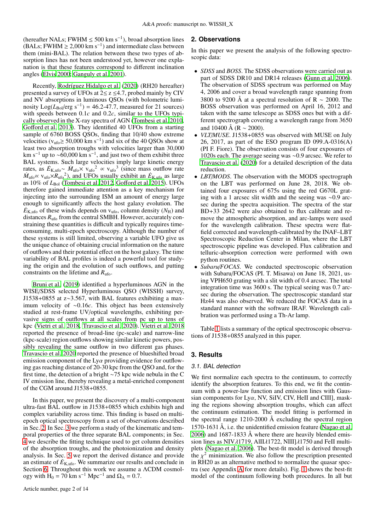(hereafter NALs; FWHM  $\leq 500 \text{ km s}^{-1}$ ), broad absorption lines (BALs; FWHM  $\geq 2,000 \text{ km s}^{-1}$ ) and intermediate class between them (mini-BAL). The relation between these two types of absorption lines has not been understood yet, however one explanation is that these features correspond to different inclination angles [\(Elvis 2000;](#page-8-15) [Ganguly et al. 2001\)](#page-8-16).

Recently, [Rodríguez Hidalgo et al.](#page-8-17) [\(2020\)](#page-8-17) (RH20 hereafter) presented a survey of UFOs at  $2 \le z \le 4.7$ , probed mainly by CIV and NV absorptions in luminous QSOs (with bolometric luminosity  $Log(L_{Bol}/erg~s^{-1}) = 46.2$ -47.7, measured for 21 sources) with speeds between 0.1*c* and 0.2*c*, similar to the UFOs typically observed in the X-ray spectra of AGN [\(Tombesi et al. 2010,](#page-8-18) Goff[ord et al. 2013\)](#page-8-19). They identified 40 UFOs from a starting sample of 6760 BOSS QSOs, finding that 10/40 show extreme velocities ( $v_{\text{ufo}} \ge 50,000 \text{ km s}^{-1}$ ) and six of the 40 QSOs show at least two absorption troughs with velocities larger than 30,000 km s<sup>-1</sup> up to ~60,000 km s<sup>-1</sup>, and just two of them exhibit three BAL systems. Such large velocities imply large kinetic energy rates, as  $E_{\text{K,ufo}} \sim \dot{M}_{\text{ufo}} \times v_{\text{ufo}}^2 \propto v_{\text{ufo}}^3$  (since mass outflow rate  $\dot{M}_{\text{ufo}} \propto v_{\text{ufo}} \times R_{\text{ufo}}^2$ ), and UFOs usually exhibit an  $\dot{E}_{\text{K,ufo}}$  as large as 10% of  $L_{\text{Bol}}$  [\(Tombesi et al. 2012,](#page-8-20) Goff[ord et al. 2015\)](#page-8-21). UFOs therefore gained immediate attention as a key mechanism for injecting into the surrounding ISM an amount of energy large enough to significantly affects the host galaxy evolution. The  $\dot{E}_{\text{K,ufo}}$  of these winds depends on v<sub>ufo</sub>, column density ( $N_{\text{H}}$ ) and distances  $R_{\text{ufo}}$  from the central SMBH. However, accurately constraining these quantities is difficult and typically requires timeconsuming, multi-epoch spectroscopy. Although the number of these systems is still limited, observing a variable UFO give us the unique chance of obtaining crucial information on the nature of outflows and their potential effect on the host galaxy. The time variability of BAL profiles is indeed a powerful tool for studying the origin and the evolution of such outflows, and putting constraints on the lifetime and *R*ufo.

[Bruni et al. \(2019\)](#page-8-22) identified a hyperluminous AGN in the WISE/SDSS selected Hyperluminous QSO (WISSH) survey, J1538+0855 at z∼3.567, with BAL features exhibiting a maximum velocity of <sup>∼</sup>0.16*c*. This object has been extensively studied at rest-frame UV/optical wavelengths, exhibiting pervasive signs of outflows at all scales from pc up to tens of kpc [\(Vietri et al. 2018,](#page-8-23) [Travascio et al. 2020](#page-8-24)). [Vietri et al.](#page-8-23) [2018](#page-8-23) reported the presence of broad-line (pc-scale) and narrow-line (kpc-scale) region outflows showing similar kinetic powers, possibly revealing the same outflow in two different gas phases. [Travascio et al. 2020](#page-8-24) reported the presence of blueshifted broad emission component of the  $Ly\alpha$  providing evidence for outflowing gas reaching distance of 20-30 kpc from the QSO and, for the first time, the detection of a bright <sup>∼</sup>75 kpc wide nebula in the C IV emission line, thereby revealing a metal-enriched component of the CGM around J1538+0855.

In this paper, we present the discovery of a multi-component ultra-fast BAL outflow in J1538+0855 which exhibits high and complex variability across time. This finding is based on multiepoch optical spectroscopy from a set of observations described in Sec. [2.](#page-1-0) In Sec. [3](#page-1-1) we perform a study of the kinematic and temporal properties of the three separate BAL components; in Sec. [4](#page-4-0) we describe the fitting technique used to get column densities of the absorption troughs, and the photoionization and density analysis. In Sec. [5](#page-6-0) we report the derived distance and provide an estimate of  $\dot{E}_{K,ufo}$ . We summarize our results and conclude in Section [6.](#page-7-0) Throughout this work we assume a ΛCDM cosmology with H<sub>0</sub> = 70 km s<sup>-1</sup> Mpc<sup>-1</sup> and  $\Omega_{\Lambda}$  = 0.7.

#### <span id="page-1-0"></span>**2. Observations**

In this paper we present the analysis of the following spectroscopic data:

- *SDSS* and *BOSS*. The SDSS observations were carried out as part of SDSS DR10 and DR14 releases [\(Gunn et al. 2006\)](#page-8-25). The observation of SDSS spectrum was performed on May 4, 2006 and cover a broad wavelength range spanning from 3800 to 9200 Å at a spectral resolution of R  $\sim$  2000. The BOSS observation was performed on April 16, 2012 and taken with the same telescope as SDSS ones but with a different spectrograph covering a wavelength range from 3650 and 10400 Å (R  $\sim$  2000).
- *VLT*/*MUSE*. J1538+0855 was observed with MUSE on July 26, 2017, as part of the ESO program ID 099.A-0316(A) (PI F. Fiore). The observation consists of four exposures of 1020s each. The average seeing was <sup>∼</sup>0.9 arcsec. We refer to [Travascio et al. \(2020\)](#page-8-24) for a detailed description of the data reduction.
- *LBT*/*MODS*. The observation with the MODS spectrograph on the LBT was performed on June 28, 2018. We obtained four exposures of 675s using the red G670L grating with a 1 arcsec slit width and the seeing was <sup>∼</sup>0.9 arcsec during the spectra acquisition. The spectra of the star BD+33 2642 were also obtained to flux calibrate and remove the atmospheric absorption, and arc-lamps were used for the wavelength calibration. These spectra were flatfield corrected and wavelength-calibrated by the INAF–LBT Spectroscopic Reduction Center in Milan, where the LBT spectroscopic pipeline was developed. Flux calibration and telluric-absorption correction were performed with own python routines.
- *Subaru*/*FOCAS*. We conducted spectroscopic observation with Subaru/FOCAS (PI. T. Misawa) on June 18, 2021, using VPH650 grating with a slit width of 0.4 arcsec. The total integration time was 3600 s. The typical seeing was 0.7 arcsec during the observation. The spectroscopic standard star Hz44 was also observed. We reduced the FOCAS data in a standard manner with the software IRAF. Wavelength calibration was performed using a Th-Ar lamp.

Table [1](#page-2-0) lists a summary of the optical spectroscopic observations of J1538+0855 analyzed in this paper.

#### <span id="page-1-1"></span>**3. Results**

#### 3.1. BAL detection

We first normalize each spectra to the continuum, to correctly identify the absorption features. To this end, we fit the continuum with a power-law function and emission lines with Gaussian components for  $Ly\alpha$ , NV, SiIV, CIV, HeII and CIII], masking the regions showing absorption troughs, which can affect the continuum estimation. The model fitting is performed in the spectral range 1210-2000 Å excluding the spectral region 1570-1631 Å, i.e. the unidentified emission feature [\(Nagao et al.](#page-8-26) [2006\)](#page-8-26) and 1687-1833 Å where there are heavily blended emission lines as NIVλ1719, AlIIλ1722, NIII]λ1750 and FeII multiplets [\(Nagao et al. 2006](#page-8-26)). The best-fit model is derived through the  $\chi^2$  minimization. We also follow the prescription presented in RH20 as an alternative method to normalize the quasar spectra (see Appendix [A](#page-9-0) for more details). Fig. [1](#page-2-1) shows the best-fit model of the continuum following both procedures. In all but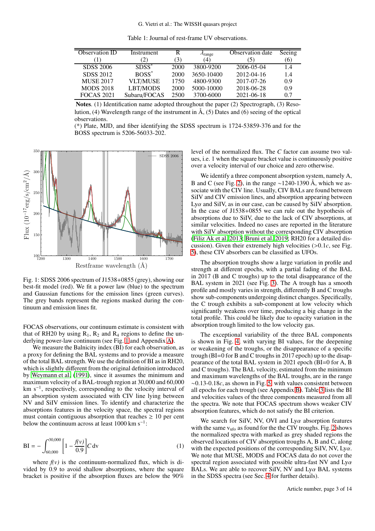Table 1: Journal of rest-frame UV observations.

<span id="page-2-0"></span>

| Observation ID    | Instrument      | R    | $\lambda$ range | Observation date | Seeing |
|-------------------|-----------------|------|-----------------|------------------|--------|
|                   | 2)              | (3)  | (4)             | (5)              | (6)    |
| SDSS 2006         | $SDSS^*$        | 2000 | 3800-9200       | 2006-05-04       | 1.4    |
| SDSS 2012         | $BOSS^*$        | 2000 | 3650-10400      | 2012-04-16       | 1.4    |
| <b>MUSE 2017</b>  | <b>VLT/MUSE</b> | 1750 | 4800-9300       | 2017-07-26       | 0.9    |
| <b>MODS 2018</b>  | LBT/MODS        | 2000 | 5000-10000      | 2018-06-28       | 0.9    |
| <b>FOCAS 2021</b> | Subaru/FOCAS    | 2500 | 3700-6000       | 2021-06-18       | 0.7    |

Notes. (1) Identification name adopted throughout the paper (2) Spectrograph, (3) Resolution, (4) Wavelength range of the instrument in  $\AA$ , (5) Dates and (6) seeing of the optical observations.

(\*) Plate, MJD, and fiber identifying the SDSS spectrum is 1724-53859-376 and for the BOSS spectrum is 5206-56033-202.

<span id="page-2-1"></span>

Fig. 1: SDSS 2006 spectrum of J1538+0855 (grey), showing our best-fit model (red). We fit a power law (blue) to the spectrum and Gaussian functions for the emission lines (green curves). The grey bands represent the regions masked during the continuum and emission lines fit.

FOCAS observations, our continuum estimate is consistent with that of RH20 by using  $R_1$ ,  $R_2$  and  $R_4$  regions to define the underlying power-law continuum (see Fig. [1](#page-2-1) and Appendix [A\)](#page-9-0).

We measure the Balnicity index (BI) for each observation, as a proxy for defining the BAL systems and to provide a measure of the total BAL strength. We use the definition of BI as in RH20, which is slightly different from the original definition introduced by [Weymann et al. \(1991\)](#page-8-27), since it assumes the minimum and maximum velocity of a BAL-trough region at 30,000 and 60,000 km s−<sup>1</sup> , respectively, corresponding to the velocity interval of an absorption system associated with CIV line lying between NV and SiIV emission lines. To identify and characterize the absorptions features in the velocity space, the spectral regions must contain contiguous absorption that reaches  $\geq 10$  per cent below the continuum across at least  $1000 \text{ km s}^{-1}$ :

$$
BI = -\int_{60,000}^{30,000} \left[ 1 - \frac{f(v)}{0.9} \right] C dv
$$
 (1)

where  $f(v)$  is the continuum-normalized flux, which is divided by 0.9 to avoid shallow absorptions, where the square bracket is positive if the absorption fluxes are below the 90%

level of the normalized flux. The *C* factor can assume two values, i.e. 1 when the square bracket value is continuously positive over a velocity interval of our choice and zero otherwise.

We identify a three component absorption system, namely A, B and C (see Fig. [2\)](#page-3-0), in the range ~1240-1390 Å, which we associate with the CIV line. Usually, CIV BALs are found between SiIV and CIV emission lines, and absorption appearing between Ly $\alpha$  and SiIV, as in our case, can be caused by SiIV absorption. In the case of J1538+0855 we can rule out the hypothesis of absorptions due to SiIV, due to the lack of CIV absorptions, at similar velocities. Indeed no cases are reported in the literature with SiIV absorption without the corresponding CIV absorption [\(Filiz Ak et al. 2013;](#page-8-28) [Bruni et al. 2019;](#page-8-22) RH20 for a detailed discussion). Given their extremely high velocities (>0.1*c*, see Fig. [5\)](#page-4-1), these CIV absorbers can be classified as UFOs.

The absorption troughs show a large variation in profile and strength at different epochs, with a partial fading of the BAL in 2017 (B and C troughs) up to the total disappearance of the BAL system in 2021 (see Fig. [3\)](#page-3-1). The A trough has a smooth profile and mostly varies in strength, differently B and C troughs show sub-components undergoing distinct changes. Specifically, the C trough exhibits a sub-component at low velocity which significantly weakens over time, producing a big change in the total profile. This could be likely due to opacity variation in the absorption trough limited to the low velocity gas.

The exceptional variability of the three BAL components is shown in Fig. [4,](#page-3-2) with varying BI values, for the deepening or weakening of the troughs, or the disappearance of a specific trough (BI=0 for B and C troughs in 2017 epoch) up to the disappearance of the total BAL system in 2021 epoch (BI=0 for A, B and C troughs). The BAL velocity, estimated from the minimum and maximum wavelengths of the BAL troughs, are in the range <sup>∼</sup>0.13-0.18*c*, as shown in Fig. [5,](#page-4-1) with values consistent between all epochs for each trough (see Appendix [B\)](#page-10-0). Table [3](#page-7-1) lists the BI and velocities values of the three components measured from all the spectra. We note that FOCAS spectrum shows weaker CIV absorption features, which do not satisfy the BI criterion.

We search for SiIV, NV, OVI and  $Ly\alpha$  absorption features with the same  $v_{\text{ufo}}$  as found for the the CIV troughs. Fig. [2](#page-3-0) shows the normalized spectra with marked as grey shaded regions the observed locations of CIV absorption troughs A, B and C, along with the expected positions of the corresponding SiIV, NV,  $Ly\alpha$ . We note that MUSE, MODS and FOCAS data do not cover the spectral region associated with possible ultra-fast NV and  $Ly\alpha$ BALs. We are able to recover SiIV, NV and  $Ly\alpha$  BAL systems in the SDSS spectra (see Sec. [4](#page-4-0) for further details).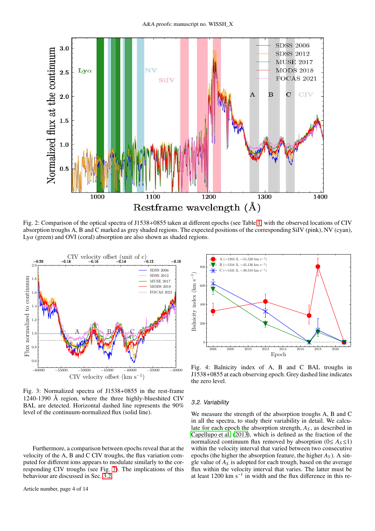<span id="page-3-0"></span>

Fig. 2: Comparison of the optical spectra of J1538+0855 taken at different epochs (see Table [1,](#page-2-0) with the observed locations of CIV absorption troughs A, B and C marked as grey shaded regions. The expected positions of the corresponding SiIV (pink), NV (cyan),  $Ly\alpha$  (green) and OVI (coral) absorption are also shown as shaded regions.

<span id="page-3-1"></span>

Fig. 3: Normalized spectra of J1538+0855 in the rest-frame 1240-1390  $\AA$  region, where the three highly-blueshited CIV BAL are detected. Horizontal dashed line represents the 90% level of the continuum-normalized flux (solid line).

Furthermore, a comparison between epochs reveal that at the velocity of the A, B and C CIV troughs, the flux variation computed for different ions appears to modulate similarly to the corresponding CIV troughs (see Fig. [7\)](#page-5-0). The implications of this behaviour are discussed in Sec. [3.2.](#page-3-3)

<span id="page-3-2"></span>

Fig. 4: Balnicity index of A, B and C BAL troughs in J1538+0855 at each observing epoch. Grey dashed line indicates the zero level.

#### <span id="page-3-3"></span>3.2. Variability

We measure the strength of the absorption troughs A, B and C in all the spectra, to study their variability in detail. We calculate for each epoch the absorption strength,  $A<sub>S</sub>$ , as described in [Capellupo et al. \(2013\)](#page-8-29), which is defined as the fraction of the normalized continuum flux removed by absorption ( $0 \leq A_s \leq 1$ ) within the velocity interval that varied between two consecutive epochs (the higher the absorption feature, the higher *A<sup>S</sup>* ). A single value of *A<sup>S</sup>* is adopted for each trough, based on the average flux within the velocity interval that varies. The latter must be at least 1200 km s<sup>-1</sup> in width and the flux difference in this re-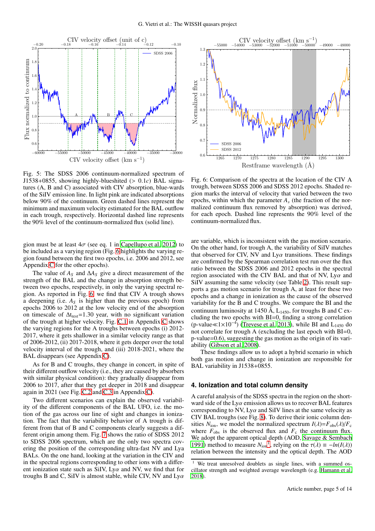<span id="page-4-1"></span>

Fig. 5: The SDSS 2006 continuum-normalized spectrum of J1538+0855, showing highly-blueshited (> 0.1*c*) BAL signatures (A, B and C) associated with CIV absorption, blue-wards of the SiIV emission line. In light pink are indicated absorptions below 90% of the continuum. Green dashed lines represent the minimum and maximum velocity estimated for the BAL outflow in each trough, respectively. Horizontal dashed line represents the 90% level of the continuum-normalized flux (solid line).

gion must be at least  $4\sigma$  (see eq. 1 in [Capellupo et al. 2012\)](#page-8-30) to be included as a varying region (Fig. [6](#page-4-2) highlights the varying region found between the first two epochs, i.e. 2006 and 2012, see Appendix [C](#page-11-0) for the other epochs).

The value of  $A_S$  and  $\Delta A_S$  give a direct measurement of the strength of the BAL and the change in absorption strength between two epochs, respectively, in only the varying spectral region. As reported in Fig. [6,](#page-4-2) we find that CIV A trough shows a deepening (i.e. *A<sup>S</sup>* is higher than the previous epoch) from epochs 2006 to 2012 at the low velocity end of the absorption on timescale of  $\Delta t_{\text{rest}}$ =1.30 year, with no significant variation of the trough at higher velocity. Fig. [C.1](#page-11-1) in Appendix [C](#page-11-0) shows the varying regions for the A troughs between epochs (i) 2012- 2017, where it gets shallower in a similar velocity range as that of 2006-2012, (ii) 2017-2018, where it gets deeper over the total velocity interval of the trough, and (iii) 2018-2021, where the BAL disappears (see Appendix [C\)](#page-11-0).

As for B and C troughs, they change in concert, in spite of their different outflow velocity (i.e., they are caused by absorbers with similar physical condition): they gradually disappear from 2006 to 2017, after that they get deeper in 2018 and disappear again in 2021 (see Fig. [C.2](#page-12-0) and [C.3](#page-13-0) in Appendix [C\)](#page-11-0).

Two different scenarios can explain the observed variability of the different components of the BAL UFO, i.e. the motion of the gas across our line of sight and changes in ionization. The fact that the variability behavior of A trough is different from that of B and C components clearly suggests a different origin among them. Fig. [7](#page-5-0) shows the ratio of SDSS 2012 to SDSS 2006 spectrum, which are the only two spectra covering the position of the corresponding ultra-fast NV and Lya BALs. On the one hand, looking at the variation in the CIV and in the spectral regions corresponding to other ions with a different ionization state such as SiIV,  $Ly\alpha$  and NV, we find that for troughs B and C, SiIV is almost stable, while CIV, NV and  $Ly\alpha$ 

<span id="page-4-2"></span>

Fig. 6: Comparison of the spectra at the location of the CIV A trough, between SDSS 2006 and SDSS 2012 epochs. Shaded region marks the interval of velocity that varied between the two epochs, within which the parameter  $A_s$  (the fraction of the normalized continuum flux removed by absorption) was derived, for each epoch. Dashed line represents the 90% level of the continuum-normalized flux.

are variable, which is inconsistent with the gas motion scenario. On the other hand, for trough A, the variability of SiIV matches that observed for CIV, NV and  $Ly\alpha$  transitions. These findings are confirmed by the Spearman correlation test run over the flux ratio between the SDSS 2006 and 2012 epochs in the spectral region associated with the CIV BAL and that of NV, Ly $\alpha$  and SiIV assuming the same velocity (see Table [2\)](#page-5-1). This result supports a gas motion scenario for trough A, at least for these two epochs and a change in ionization as the cause of the observed variability for the B and C troughs. We compare the BI and the continuum luminosity at 1450 Å,  $L_{1450}$ , for troughs B and C excluding the two epochs with BI=0, finding a strong correlation (p-value≪1×10<sup>-4</sup>) [\(Trevese et al. 2013\)](#page-8-31), while BI and L<sub>1450</sub> do not correlate for trough A (excluding the last epoch with BI=0, p-value=0.6), suggesting the gas motion as the origin of its variability [\(Gibson et al. 2008\)](#page-8-32).

These findings allow us to adopt a hybrid scenario in which both gas motion and change in ionization are responsible for BAL variability in J1538+0855.

#### <span id="page-4-0"></span>**4. Ionization and total column density**

A careful analysis of the SDSS spectra in the region on the shortward side of the  $Ly\alpha$  emission allows us to recover BAL features corresponding to NV, Ly $\alpha$  and SiIV lines at the same velocity as CIV BAL troughs (see Fig. [8\)](#page-5-2). To derive their ionic column densities  $N_{\text{ion}}$ , we model the normalized spectrum  $I(\lambda) = F_{\text{obs}}(\lambda)/F_{\text{c}}$ where  $F_{obs}$  is the observed flux and  $F_c$  the continuum flux. We adopt the apparent optical depth (AOD, [Savage & Sembach](#page-8-33) [1991\)](#page-8-33) method to measure  $N_{\text{ion}}^1$  $N_{\text{ion}}^1$ , relying on the  $\tau(\lambda) \equiv -\ln(I(\lambda))$ relation between the intensity and the optical depth. The AOD

<span id="page-4-3"></span>We treat unresolved doublets as single lines, with a summed oscillator strength and weighted average wavelength (e.g. [Hamann et al.](#page-8-34) [2018](#page-8-34)).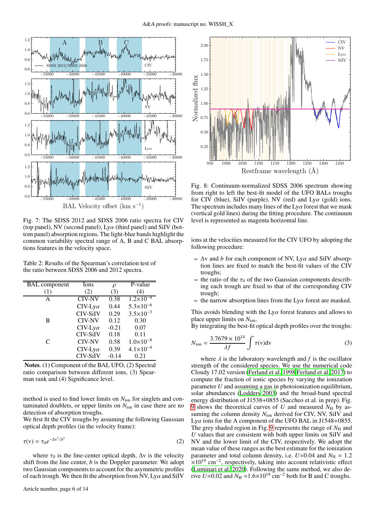<span id="page-5-0"></span>

Fig. 7: The SDSS 2012 and SDSS 2006 ratio spectra for CIV (top panel), NV (second panel),  $Ly\alpha$  (third panel) and SiIV (bottom panel) absorption regions. The light-blue bands highlight the common variability spectral range of A, B and C BAL absorptions features in the velocity space.

<span id="page-5-1"></span>Table 2: Results of the Spearman's correlation test of the ratio between SDSS 2006 and 2012 spectra.

| <b>BAL</b> component | Ions            | $\rho$  | P-value              |
|----------------------|-----------------|---------|----------------------|
| (1)                  | (2)             | (3)     | (4)                  |
| A                    | <b>CIV-NV</b>   | 0.38    | $1.2 \times 10^{-4}$ |
|                      | $CIV-Ly\alpha$  | 0.44    | $5.3 \times 10^{-6}$ |
|                      | <b>CIV-SiIV</b> | 0.29    | $3.5 \times 10^{-3}$ |
| B                    | <b>CIV-NV</b>   | 0.12    | 0.30                 |
|                      | $CIV-Ly\alpha$  | $-0.21$ | 0.07                 |
|                      | <b>CIV-SiIV</b> | 0.18    | 0.11                 |
| C                    | <b>CIV-NV</b>   | 0.58    | $1.0\times10^{-8}$   |
|                      | $CIV-Ly\alpha$  | 0.39    | $4.1 \times 10^{-4}$ |
|                      | <b>CIV-SiIV</b> | $-0.14$ | 0.21                 |

Notes. (1) Component of the BAL UFO, (2) Spectral ratio comparison between different ions, (3) Spearman rank and (4) Significance level.

method is used to find lower limits on  $N_{\text{ion}}$  for singlets and contaminated doublets, or upper limits on  $N_{\text{ion}}$  in case there are no detection of absorption troughs.

We first fit the CIV troughs by assuming the following Gaussian optical depth profiles (in the velocity frame):

$$
\tau(v) = \tau_0 e^{-\Delta v^2/b^2} \tag{2}
$$

where  $\tau_0$  is the line-center optical depth,  $\Delta v$  is the velocity shift from the line center, *b* is the Doppler parameter. We adopt two Gaussian components to account for the asymmetric profiles of each trough. We then fit the absorption from NV,  $Ly\alpha$  and SiIV

<span id="page-5-2"></span>

Fig. 8: Continuum-normalized SDSS 2006 spectrum showing from right to left the best-fit model of the UFO BALs troughs for CIV (blue), SiIV (purple), NV (red) and  $Ly\alpha$  (gold) ions. The spectrum includes many lines of the  $Ly\alpha$  forest that we mask (vertical gold lines) during the fitting procedure. The continuum level is represented as magenta horizontal line.

ions at the velocities measured for the CIV UFO by adopting the following procedure:

- ∆v and *b* for each component of NV, Lyα and SiIV absorption lines are fixed to match the best-fit values of the CIV troughs;
- the ratio of the  $\tau_0$  of the two Gaussian components describing each trough are fixed to that of the corresponding CIV trough;
- the narrow absorption lines from the  $Ly\alpha$  forest are masked.

This avoids blending with the  $Ly\alpha$  forest features and allows to place upper limits on *N*ion.

By integrating the best-fit optical depth profiles over the troughs:

$$
N_{\text{ion}} = \frac{3.7679 \times 10^{14}}{\lambda f} \int \tau(v) \, \text{d}v \tag{3}
$$

where  $\lambda$  is the laboratory wavelength and  $f$  is the oscillator strength of the considered species. We use the numerical code Cloudy 17.02 version [\(Ferland et al. 1998](#page-8-35)[,Ferland et al. 2017](#page-8-36)) to compute the fraction of ionic species by varying the ionization parameter *U* and assuming a gas in photoionization equilibrium, solar abundances [\(Lodders 2003\)](#page-8-37) and the broad-band spectral energy distribution of J1538+0855 (Saccheo et al. in prep). Fig. [9](#page-6-1) shows the theoretical curves of  $U$  and measured  $N_H$  by assuming the column density  $N_{\text{ion}}$  derived for CIV, NV, SiIV and Ly $\alpha$  ions for the A component of the UFO BAL in J1548+0855. The grey shaded region in Fig. [9](#page-6-1) represents the range of  $N_{\rm H}$  and *U* values that are consistent with both upper limits on SiIV and NV and the lower limit of the CIV, respectively. We adopt the mean value of these ranges as the best estimate for the ionization parameter and total column density, i.e.  $U \approx 0.04$  and  $N_H \approx 1.2$  $\times 10^{19}$  cm<sup>-2</sup>, respectively, taking into account relativistic effect [\(Luminari et al. 2020](#page-8-38)). Following the same method, we also derive *U*≈0.02 and  $N_H \approx 1.6 \times 10^{19}$  cm<sup>-2</sup> both for B and C troughs.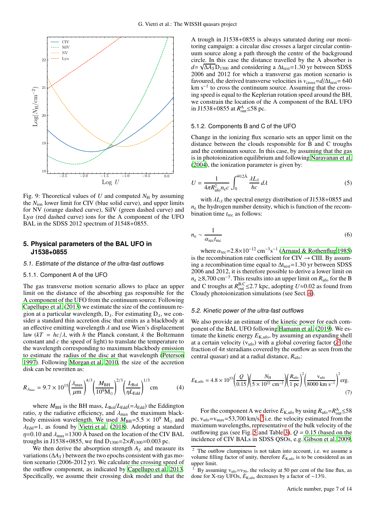<span id="page-6-1"></span>

Fig. 9: Theoretical values of *U* and computed  $N_H$  by assuming the *N*ion lower limit for CIV (blue solid curve), and upper limits for NV (orange dashed curve), SiIV (green dashed curve) and Ly $\alpha$  (red dashed curve) ions for the A component of the UFO BAL in the SDSS 2012 spectrum of J1548+0855.

# <span id="page-6-0"></span>**5. Physical parameters of the BAL UFO in J1538+0855**

#### 5.1. Estimate of the distance of the ultra-fast outflows

#### 5.1.1. Component A of the UFO

The gas transverse motion scenario allows to place an upper limit on the distance of the absorbing gas responsible for the A component of the UFO from the continuum source. Following [Capellupo et al. \(2013](#page-8-29)) we estimate the size of the continuum region at a particular wavelength,  $D_{\lambda}$ . For estimating  $D_{\lambda}$ , we consider a standard thin accretion disc that emits as a blackbody at an effective emitting wavelength  $\lambda$  and use Wien's displacement law  $(kT = hc/\lambda$ , with *h* the Planck constant, *k* the Boltzmann constant and *c* the speed of light) to translate the temperature to the wavelength corresponding to maximum blackbody emission to estimate the radius of the disc at that wavelength [\(Peterson](#page-8-39) [1997\)](#page-8-39). Following [Morgan et al. 2010,](#page-8-40) the size of the accretion disk can be rewritten as:

$$
R_{\lambda_{\text{max}}} = 9.7 \times 10^{15} \left(\frac{\lambda_{\text{max}}}{\mu \text{m}}\right)^{4/3} \left(\frac{M_{\text{BH}}}{10^9 \text{M}_{\odot}}\right)^{2/3} \left(\frac{L_{\text{Bol}}}{\eta L_{\text{Edd}}}\right)^{1/3} \text{cm}
$$
(4)

where  $M_{\text{BH}}$  is the BH mass,  $L_{\text{Bol}}/L_{\text{Edd}}(=\lambda_{\text{Edd}})$  the Eddington ratio,  $\eta$  the radiative efficiency, and  $\lambda_{\text{max}}$  the maximum blackbody emission wavelength. We used  $M_{\rm BH}$ =5.5 × 10<sup>9</sup> M<sub>☉</sub> and  $\lambda_{\text{Edd}} = 1$ , as found by [Vietri et al. \(2018\)](#page-8-23). Adopting a standard  $\eta$ =0.10 and  $\lambda_{\text{max}}$ =1300 Å based on the location of the CIV BAL troughs in J1538+0855, we find  $D_{1300} = 2 \times R_{1300} = 0.003$  pc.

We then derive the absorption strength  $A<sub>S</sub>$  and measure its variations ( $\Delta A_S$ ) between the two epochs consistent with gas motion scenario (2006-2012 yr). We calculate the crossing speed of the outflow component, as indicated by [Capellupo et al. 2013.](#page-8-29) Specifically, we assume their crossing disk model and that the

A trough in J1538+0855 is always saturated during our monitoring campaign: a circular disc crosses a larger circular continuum source along a path through the centre of the background circle. In this case the distance travelled by the A absorber is  $d = \sqrt{\Delta A_S} D_{1300}$  and considering a  $\Delta t_{\text{rest}} = 1.30$  yr between SDSS 2006 and 2012 for which a transverse gas motion scenario is favoured, the derived transverse velocities is  $v_{\text{cross}}=d/\Delta t_{\text{rest}}= 640$ km s−<sup>1</sup> to cross the continuum source. Assuming that the crossing speed is equal to the Keplerian rotation speed around the BH, we constrain the location of the A component of the BAL UFO in J1538+0855 at  $R_{\text{out}}^{\text{A}}$  ≤58 pc.

#### 5.1.2. Components B and C of the UFO

Change in the ionizing flux scenario sets an upper limit on the distance between the clouds responsible for B and C troughs and the continuum source. In this case, by assuming that the gas is in photoionization equilibrium and following [Narayanan](#page-8-41) et al. [\(2004\)](#page-8-41), the ionization parameter is given by:

$$
U = \frac{1}{4\pi R_{\text{ufo}}^2 n_e c} \int_0^{912\text{\AA}} \frac{\lambda L_\lambda}{hc} d\lambda \tag{5}
$$

with  $\lambda L_{\lambda}$  the spectral energy distribution of J1538+0855 and  $n<sub>e</sub>$  the hydrogen number density, which is function of the recombination time *t*rec as follows:

$$
n_{\rm e} \sim \frac{1}{\alpha_{\rm rec} t_{\rm rec}}\tag{6}
$$

where  $\alpha_{\text{rec}} = 2.8 \times 10^{-12} \text{ cm}^{-3} \text{s}^{-1}$  [\(Arnaud & Rothenflug 1985](#page-8-42)) is the recombination rate coefficient for  $\text{CIV} \rightarrow \text{CIII}$ . By assuming a recombination time equal to  $\Delta t_{rest}$ =1.30 yr between SDSS 2006 and 2012, it is therefore possible to derive a lower limit on *n*e ≥8,700 cm<sup>-3</sup>. This results into an upper limit on *R*<sub>ufo</sub> for the B and C troughs at  $R_{out}^{B,C} \leq 2.7$  kpc, adopting  $U \approx 0.02$  as found from Cloudy photoionization simulations (see Sect. [4\)](#page-4-0).

#### 5.2. Kinetic power of the ultra-fast outflows

We also provide an estimate of the kinetic power for each component of the BAL UFO following [Hamann et al.](#page-8-43) [\(2019\)](#page-8-43). We estimate the kinetic energy  $E_{\text{K,ufo}}$ , by assuming an expanding shell at a certain velocity ( $v_{\text{ufo}}$ ) with a global covering factor  $Q^2$  $Q^2$  (the fraction of  $4\pi$  steradians covered by the outflow as seen from the central quasar) and at a radial distance, *R*ufo:

<span id="page-6-4"></span>
$$
E_{\text{K,ufo}} = 4.8 \times 10^{53} \left( \frac{Q}{0.15} \right) \left( \frac{N_{\text{H}}}{5 \times 10^{22} \text{ cm}^{-2}} \right) \left( \frac{R_{\text{ufo}}}{1 \text{ pc}} \right)^2 \left( \frac{\text{v}_{\text{ufo}}}{8000 \text{ km s}^{-1}} \right)^2 \text{erg.}
$$
\n(7)

For the component A we derive  $E_{\text{K,ufo}}$  by using  $R_{\text{ufo}} = R_{\text{out}}^{\text{A}} \le 58$ pc,  $v_{\text{ufo}} = v_{\text{max}} = 53,700 \text{ km/s}^3$  $v_{\text{ufo}} = v_{\text{max}} = 53,700 \text{ km/s}^3$  $v_{\text{ufo}} = v_{\text{max}} = 53,700 \text{ km/s}^3$  i.e. the velocity estimated from the maximum wavelengths, representative of the bulk velocity of the outflowing gas (see Fig. [5](#page-4-1) and Table [3\)](#page-7-1),  $Q = 0.15$  (based on the incidence of CIV BALs in SDSS QSOs, e.g. [Gibson et al. 2009,](#page-8-44)

<span id="page-6-2"></span>The outflow clumpiness is not taken into account, i.e. we assume a volume filling factor of unity, therefore  $\dot{E}_{K,\text{ufo}}$  is to be considered as an upper limit.

<span id="page-6-3"></span>By assuming  $v_{\text{ufo}} = v_{50}$ , the velocity at 50 per cent of the line flux, as done for X-ray UFOs,  $E_{K,\text{ufo}}$  decreases by a factor of ~13%.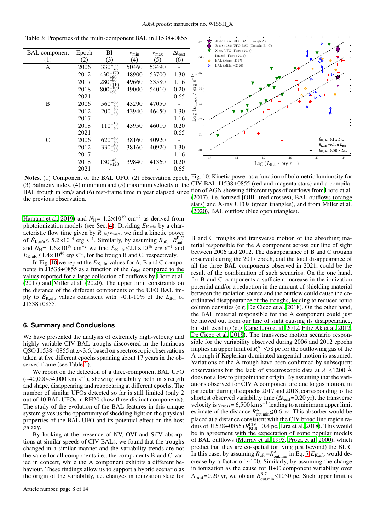BAL component Epoch BI  $v_{min}$   $v_{max}$   $\overline{\Delta t_{rest}}$  $(1)$   $(2)$   $(3)$   $(4)$   $(5)$   $(6)$ A 2006  $330_{+80}^{-50}$ 50460 53490 -<br>48900 53700 1.30 2012 430<sup>-120</sup> 53700 1.30<br>53580 1.16  $2017$  280<sup>-90</sup> 49660 53580 1.16<br>49000 54010 0.20 2018  $800_{+90}^{-100}$ 49000 54010 0.20  $2021$  - - 0.65 B 2006  $560_{+40}^{-60}$ <br>2012 200<sup>-40</sup> 43290 47050 -<br>43940 46450 1.30 2012 200<sup>-40</sup><sub>+30</sub> 46450 1.30<br>1.16 2017 2018  $110^{-50}_{+40}$ 43950 46010 0.20  $2021$  - - - 0.65 C 2006  $620^{+40}_{+40}$ <br>2012 330<sup>-60</sup> 38160 40920 -<br>38160 40920 1.30 2012  $330_{+30}^{-60}$ <sup>+</sup><sup>30</sup> 38160 40920 1.30 2017 - - - 1.16 2018  $130_{+120}^{-40}$ <sup>+</sup><sup>120</sup> 39840 41360 0.20 2021 - - - 0.65

<span id="page-7-1"></span>Table 3: Properties of the multi-component BAL in J1538+0855

BAL trough in km/s and (6) rest-frame time in year elapsed since tion of AGN showing different types of outflows from [Fiore et al.](#page-8-45) the previous observation.

[Hamann et al. 2019](#page-8-43)) and  $N_{\text{H}}$  = 1.2×10<sup>19</sup> cm<sup>-2</sup> as derived from photoionization models (see Sec. [4\)](#page-4-0). Dividing  $E_{\text{K,ufo}}$  by a characteristic flow time given by  $R_{\text{ufo}}/v_{\text{max}}$ , we find a kinetic power of  $E_{\text{K,ufo}}$  ≤ 5.2×10<sup>44</sup> erg s<sup>-1</sup>. Similarly, by assuming  $R_{\text{ufo}} = R_{\text{out}}^{\text{B,C}}$ <br>and  $N_{\text{H}} = 1.6 \times 10^{19}$  cm<sup>-2</sup> we find  $E_{\text{K,ufo}}$  ≤ 2.1×10<sup>46</sup> erg s<sup>-1</sup> and  $E_{K,\text{ufo}} \leq 1.4 \times 10^{46} \text{ erg s}^{-1}$ , for the trough B and C, respectively.

In Fig. [10](#page-7-2) we report the  $\dot{E}_{K,\text{ufo}}$  values for A, B and C components in J1538+0855 as a function of the *L*<sub>Bol</sub> compared to the values reported for a large collection of outflows by [Fiore et](#page-8-45) al. [\(2017](#page-8-45)) and [Miller et al. \(2020\)](#page-8-46). The upper limit constraints on the distance of the different components of the UFO BAL imply to  $E_{K,\text{ufo}}$  values consistent with ~0.1-10% of the *L*<sub>Bol</sub> of J1538+0855.

#### <span id="page-7-0"></span>**6. Summary and Conclusions**

We have presented the analysis of extremely high-velocity and highly variable CIV BAL troughs discovered in the luminous QSO J1538+0855 at z∼3.6, based on spectroscopic observations taken at five different epochs spanning about 17 years in the observed frame (see Table [1\)](#page-2-0).

We report on the detection of a three-component BAL UFO  $(*40,000-54,000 \text{ km s}^{-1})$ , showing variability both in strength and shape, disappearing and reappearing at different epochs. The number of similar UFOs detected so far is still limited (only 2 out of 40 BAL UFOs in RH20 show three distinct components). The study of the evolution of the BAL features in this unique system gives us the opportunity of shedding light on the physical properties of the BAL UFO and its potential effect on the host galaxy.

By looking at the presence of NV, OVI and SiIV absorptions at similar speeds of CIV BALs, we found that the troughs changed in a similar manner and the variability trends are not the same for all components i.e., the components B and C varied in concert, while the A component exhibits a different behaviour. These findings allow us to support a hybrid scenario as the origin of the variability, i.e. changes in ionization state for

<span id="page-7-2"></span>

Notes. (1) Component of the BAL UFO, (2) observation epoch, Fig. 10: Kinetic power as a function of bolometric luminosity for (3) Balnicity index, (4) minimum and (5) maximum velocity of the CIV BAL J1538+0855 (red and magenta stars) and a compila-[\(2017\)](#page-8-45), i.e. ionized [OIII] (red crosses), BAL outflows (orange stars) and X-ray UFOs (green triangles), and from [Miller et al.](#page-8-46) [\(2020\)](#page-8-46), BAL outflow (blue open triangles).

B and C troughs and transverse motion of the absorbing material responsible for the A component across our line of sight between 2006 and 2012. The disappearance of B and C troughs observed during the 2017 epoch, and the total disappearance of all the three BAL components observed in 2021, could be the result of the combination of such scenarios. On the one hand, for B and C components a sufficient increase in the ionization potential and/or a reduction in the amount of shielding material between the radiation source and the outflow could cause the coordinated disappearance of the troughs, leading to reduced ionic column densities (e.g. [De Cicco et al. 2018\)](#page-8-47). On the other hand, the BAL material responsible for the A component could just be moved out from our line of sight causing its disappearance, but still existing (e.g. [Capellupo et al. 2012](#page-8-30), [Filiz Ak et al. 2012,](#page-8-48) [De Cicco et al. 2018\)](#page-8-47). The transverse motion scenario responsible for the variability observed during 2006 and 2012 epochs implies an upper limit of  $R_{\text{out}}^{\text{A}} \le 58 \text{ pc}$  for the outflowing gas of the A trough if Keplerian-dominated tangential motion is assumed. Variations of the A trough have been confirmed by subsequent observations but the lack of spectroscopic data at  $\lambda \leq 1200$  Å does not allow to pinpoint their origin. By assuming that the variations observed for CIV A component are due to gas motion, in particular during the epochs 2017 and 2018, corresponding to the shortest observed variability time ( $\Delta t_{rest}$ =0.20 yr), the transverse velocity is v<sub>cross</sub> = 6,500 km s<sup>-1</sup> leading to a minimum upper limit estimate of the distance  $R_{\text{out,min}}^{\text{A}} \leq 0.6$  pc. This absorber would be placed at a distance consistent with the CIV broad line region radius of J1538+0855 ( $R_{\text{BLR}}^{\text{CIV}}$ =0.4 pc, [Lira et al. 2018\)](#page-8-49). This would be in agreement with the expectation of some popular models of BAL outflows [\(Murray et al. 1995](#page-8-50), [Proga et al. 2000\)](#page-8-51), which predict that they are co-spatial (or lying just beyond) the BLR. In this case, by assuming  $R_{\text{ufo}} = R_{\text{out,min}}^{\text{A}}$  in Eq. [7](#page-6-4)  $\dot{E}_{\text{K,ufo}}$  would decrease by a factor of <sup>∼</sup>100. Similarly, by assuming the change in ionization as the cause for B+C component variability over  $\Delta t_{\text{rest}}$ =0.20 yr, we obtain  $R_{\text{out,min}}^{\text{B,C}}$  ≤1050 pc. Such upper limit is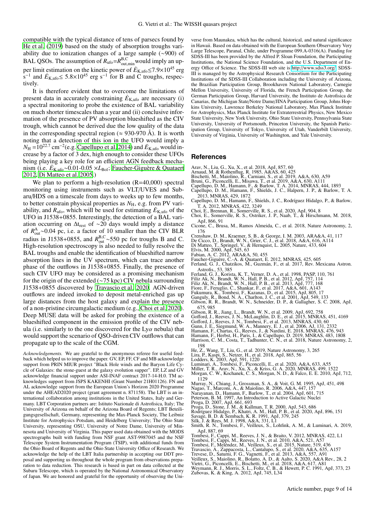compatible with the typical distance of tens of parsecs found by [He et al. \(2019\)](#page-8-52) based on the study of absorption troughs variability due to ionization changes of a large sample (∼900) of BAL QSOs. The assumption of  $R_{\text{ufo}} = R_{\text{out,min}}^{\text{B,C}}$  would imply an upper limit estimation on the kinetic power of  $\dot{E}_{K,\text{ufo}}$  ≤7.9×10<sup>45</sup> erg  $s^{-1}$  and  $E_{K,\text{ufo}} \leq 5.8 \times 10^{45}$  erg s<sup>-1</sup> for B and C troughs, respectively.

It is therefore evident that to overcome the limitations of present data in accurately constraining  $\dot{E}_{K,ufo}$  are necessary (i) a spectral monitoring to probe the existence of BAL variability on much shorter timescales than a year and (ii) conclusive information of the presence of PV absorption blueshifted as the CIV trough, which cannot be derived due the low quality of the data in the corresponding spectral region ( $\approx$  930-970 Å). It is worth noting that a detection of this ion in the UFO would imply a  $N_{\rm H}$  = 10<sup>22.7</sup> cm<sup>-2</sup>(e.g. [Capellupo et al. 2014](#page-8-53)) and  $\dot{E}_{\rm K, ufo}$  would increase by a factor of 3 dex, high enough to consider these UFOs being playing a key role for an efficient AGN feedback mechanism (i.e. *<sup>E</sup>*˙K,ufo∼0.01-0.05 <sup>×</sup>*L*Bol; [Faucher-Giguère & Quataert](#page-8-4) [2012,](#page-8-4) [Di Matteo et al. 2005.](#page-8-54))

We plan to perform a high-resolution (R=40,000) spectral monitoring using instruments such as VLT/UVES and Subaru/HDS on a timescale from days to weeks up to few months, to better constrain physical properties as  $N_{\rm H}$ , e.g. from PV variability, and  $R_{\text{ufo}}$ , which will be used for estimating  $\dot{E}_{\text{K,ufo}}$  of the UFO in J1538+0855. Interestingly, the detection of a BAL variation occurring on  $\Delta t_{rest}$  of ∼20 days would imply a distance of  $R_{\text{out}}^{\text{A}}$ ∼0.04 pc, i.e. a factor of 10 smaller than the CIV BLR radius in J1538+0855, and  $R_{\text{out}}^{\text{B,C}}$ ~550 pc for troughs B and C.<br>High-resolution spectroscopy is also needed to fully resolve the BAL troughs and enable the identification of blueshifted narrow absorption lines in the UV spectrum, which can trace another phase of the outflows in J1538+0855. Finally, the presence of such CIV UFO may be considered as a promising mechanism for the origin of the extended (∼75 kpc) CIV nebula surrounding J1538+0855 discovered by [Travascio et al. 2020.](#page-8-24) AGN-driven outflows are indeed invoked to deposit metal-enriched gas up large distances from the host galaxy and explain the presence of a non-pristine circumgalactic medium (e.g., [Choi et al. 2020](#page-8-55)). Deep MUSE data will be asked for probing the existence of a blueshifted component in the emission profile of the CIV nebula (i.e. similarly to the one discovered for the  $Ly\alpha$  nebula) that would support the scenario of QSO-driven CIV outflows that can propagate up to the scale of the CGM.

*Acknowledgements.* We are grateful to the anonymous referee for useful feedback which helped us to improve the paper. GV, EP, FF, CF and MB acknowledge support from PRIN MIUR project "Black Hole winds and the Baryon Life Cycle of Galaxies: the stone-guest at the galaxy evolution supper". EP, LZ and GV acknowledge financial support under ASI-INAF contract 2017-14-H.0. TM acknowledges support from JSPS KAKENHI (Grant Number 21H01126). FN and AL acknowledge support from the European Union's Horizon 2020 Programme under the AHEAD2020 project (grant agreement n. 871158). The LBT is an international collaboration among institutions in the United States, Italy and Germany. LBT Corporation partners are: Istituto Nazionale di Astrofisica, Italy; The University of Arizona on behalf of the Arizona Board of Regents; LBT Beteiligungsgesellschaft, Germany, representing the Max-Planck Society, The Leibniz Institute for Astrophysics Potsdam, and Heidelberg University; The Ohio State University, representing OSU, University of Notre Dame, University of Minnesota and University of Virginia. This paper used data obtained with the MODS spectrographs built with funding from NSF grant AST-9987045 and the NSF Telescope System Instrumentation Program (TSIP), with additional funds from the Ohio Board of Regents and the Ohio State University Office of Research. We acknowledge the help of the LBT Italia partnership in accepting our DDT proposal and supporting us throughout the whole program from observations preparation to data reduction. This research is based in part on data collected at the Subaru Telescope, which is operated by the National Astronomical Observatory of Japan. We are honored and grateful for the opportunity of observing the Universe from Maunakea, which has the cultural, historical, and natural significance in Hawaii. Based on data obtained with the European Southern Observatory Very Large Telescope, Paranal, Chile, under Programme 099.A-0316(A). Funding for SDSS-III has been provided by the Alfred P. Sloan Foundation, the Participating Institutions, the National Science Foundation, and the U.S. Department of Energy Office of Science. The SDSS-III web site is http://[www.sdss3.org](http://www.sdss3.org/)/. SDSS-III is managed by the Astrophysical Research Consortium for the Participating Institutions of the SDSS-III Collaboration including the University of Arizona, the Brazilian Participation Group, Brookhaven National Laboratory, Carnegie Mellon University, University of Florida, the French Participation Group, the German Participation Group, Harvard University, the Instituto de Astrofisica de Canarias, the Michigan State/Notre Dame/JINA Participation Group, Johns Hopkins University, Lawrence Berkeley National Laboratory, Max Planck Institute for Astrophysics, Max Planck Institute for Extraterrestrial Physics, New Mexico State University, New York University, Ohio State University, Pennsylvania State University, University of Portsmouth, Princeton University, the Spanish Participation Group, University of Tokyo, University of Utah, Vanderbilt University, University of Virginia, University of Washington, and Yale University.

#### **References**

- 
- <span id="page-8-42"></span>
- <span id="page-8-8"></span>
- <span id="page-8-53"></span><span id="page-8-29"></span><span id="page-8-22"></span>
- <span id="page-8-12"></span>Arav, N., Liu, G., Xu, X., et al. 2018, ApJ, 857, 60<br>Arnaud, M. & Rothenflug, R. 1985, A&AS, 60, 425<br>Bischetti, M., Maiolino, R., Carniani, S., et al. 2019, A&A, 630, A59<br>Bruni, G., Piconcelli, E., Misawa, T., et al. 2019, 2013, MNRAS, 429, 1872
- <span id="page-8-30"></span>Capellupo, D. M., Hamann, F., Shields, J. C., Rodríguez Hidalgo, P., & Barlow,
- <span id="page-8-55"></span><span id="page-8-2"></span>
- T. A. 2012, MNRAS, 422, 3249 Choi, E., Brennan, R., Somerville, R. S., et al. 2020, ApJ, 904, 8 Choi, E., Somerville, R. S., Ostriker, J. P., Naab, T., & Hirschmann, M. 2018, ApJ, 866, 91
- <span id="page-8-11"></span>Cicone, C., Brusa, M., Ramos Almeida, C., et al. 2018, Nature Astronomy, 2, 176
- <span id="page-8-14"></span>
- <span id="page-8-47"></span>
- <span id="page-8-54"></span>
- <span id="page-8-15"></span><span id="page-8-1"></span>
- <span id="page-8-36"></span><span id="page-8-4"></span>
- Crenshaw, D. M., Kraemer, S. B., & George, I. M. 2003, ARA&A, 41, 117<br>De Cicco, D., Brandt, W. N., Grier, C. J., et al. 2018, A&A, 616, A114<br>Di Matteo, T., Springel, V., & Hermquist, L. 2005, Nature, 433, 604<br>Elvis, M. 200
- Astrofis., 53, 385<br>Ferland, G. J., Korista, K. T., Verner, D. A., et al. 1998, PASP, 110, 761<br>Filiz Ak, N., Brandt, W. N., Hall, P. B., et al. 2012, ApJ, 757, 114<br>Filiz Ak, N., Brandt, W. N., Hall, P. B., et al. 2013, ApJ,
- <span id="page-8-48"></span><span id="page-8-35"></span>
- <span id="page-8-28"></span>
- <span id="page-8-45"></span>
- <span id="page-8-6"></span>
- <span id="page-8-16"></span>
- <span id="page-8-32"></span>675, 985
- 
- <span id="page-8-21"></span>
- <span id="page-8-19"></span>
- <span id="page-8-25"></span>
- <span id="page-8-43"></span><span id="page-8-34"></span>
- <span id="page-8-44"></span>Gibson, R. R., Jiang, L., Brandt, W. N., et al. 2009, ApJ, 692, 758<br>Gofford, J., Reeves, J. N., McLaughlin, D. E., et al. 2015, MNRAS, 451, 4169<br>Gofford, J., Reeves, J. N., McLaughlin, D. E., et al. 2013, MNRAS, 430, 60<br>Gu
- <span id="page-8-13"></span>198
- <span id="page-8-49"></span>
- <span id="page-8-37"></span>
- <span id="page-8-52"></span>He, Z., Wang, T., Liu, G., et al. 2019, Nature Astronomy, 3, 265<br>Lira, P., Kaspi, S., Netzer, H., et al. 2018, ApJ, 865, 56<br>Lodders, K. 2003, ApJ, 591, 1220<br>Luminari, A., Tombesi, F., Piconcelli, E., et al. 2020, A&A, 633,
- <span id="page-8-38"></span>
- <span id="page-8-46"></span><span id="page-8-40"></span>Miller, T. R., Arav, N., Xu, X., & Kriss, G. A. 2020, MNRAS, 499, 1522 Morgan, C. W., Kochanek, C. S., Morgan, N. D., & Falco, E. E. 2010, ApJ, 712, 1129
- <span id="page-8-50"></span>Murray, N., Chiang, J., Grossman, S. A., & Voit, G. M. 1995, ApJ, 451, 498 Nagao, T., Marconi, A., & Maiolino, R. 2006, A&A, 447, 157 Narayanan, D., Hamann, F., Barlow, T., et al. 2004, ApJ, 601, 715
- <span id="page-8-26"></span>
- <span id="page-8-41"></span>
- 
- <span id="page-8-5"></span>
- <span id="page-8-51"></span><span id="page-8-17"></span>
- 
- <span id="page-8-33"></span><span id="page-8-0"></span>
- <span id="page-8-39"></span>Peterson, B. M. 1997, An Introduction to Active Galactic Nuclei<br>Proga, D. 2007, ApJ, 661, 693<br>Proga, D. 2007, ApJ, 661, 693<br>Proga, D., Stone, J. M., & Kallman, T. R. 2000, ApJ, 543, 686<br>Rodríguez Hidalgo, P., Khatri, A. M.
- <span id="page-8-20"></span>
- <span id="page-8-18"></span>
- <span id="page-8-7"></span>
- <span id="page-8-31"></span><span id="page-8-24"></span>
- 
- <span id="page-8-27"></span><span id="page-8-23"></span><span id="page-8-10"></span><span id="page-8-3"></span>
- <span id="page-8-9"></span>ApJ, 887, 69<br>Tombesi, F., Cappi, M., Reeves, J. N., & Braito, V. 2012, MNRAS, 422, L1<br>Tombesi, F., Cappi, M., Reeves, J. N., et al. 2010, A&A, 521, A57<br>Tombesi, F., Meléndez, M., Veilleux, S., et al. 2015, Nature, 519, 436

Article number, page 9 of 14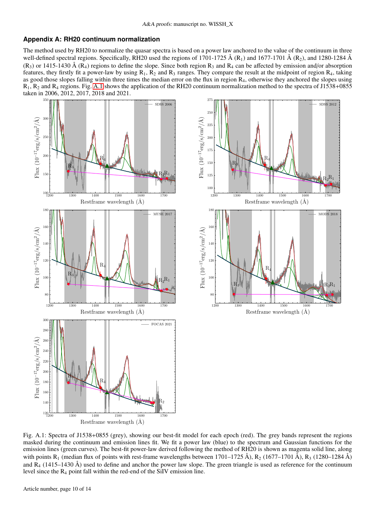# <span id="page-9-0"></span>**Appendix A: RH20 continuum normalization**

The method used by RH20 to normalize the quasar spectra is based on a power law anchored to the value of the continuum in three well-defined spectral regions. Specifically, RH20 used the regions of 1701-1725 Å (R<sub>1</sub>) and 1677-1701 Å (R<sub>2</sub>), and 1280-1284 Å  $(R_3)$  or 1415-1430 Å  $(R_4)$  regions to define the slope. Since both region  $R_3$  and  $R_4$  can be affected by emission and/or absorption features, they firstly fit a power-law by using  $R_1$ ,  $R_2$  and  $R_3$  ranges. They compare the result at the midpoint of region  $R_4$ , taking as good those slopes falling within three times the median error on the flux in region R4, otherwise they anchored the slopes using R1, R<sup>2</sup> and R<sup>4</sup> regions. Fig. [A.1](#page-9-1) shows the application of the RH20 continuum normalization method to the spectra of J1538+0855 taken in 2006, 2012, 2017, 2018 and 2021.



<span id="page-9-1"></span>Fig. A.1: Spectra of J1538+0855 (grey), showing our best-fit model for each epoch (red). The grey bands represent the regions masked during the continuum and emission lines fit. We fit a power law (blue) to the spectrum and Gaussian functions for the emission lines (green curves). The best-fit power-law derived following the method of RH20 is shown as magenta solid line, along with points R<sub>1</sub> (median flux of points with rest-frame wavelengths between 1701–1725 Å), R<sub>2</sub> (1677–1701 Å), R<sub>3</sub> (1280–1284 Å) and  $R_4$  (1415–1430 Å) used to define and anchor the power law slope. The green triangle is used as reference for the continuum level since the R<sup>4</sup> point fall within the red-end of the SiIV emission line.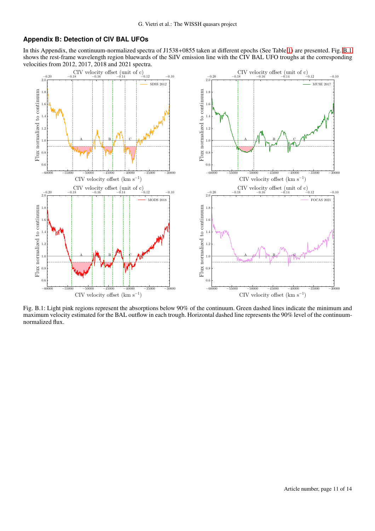## <span id="page-10-0"></span>**Appendix B: Detection of CIV BAL UFOs**

In this Appendix, the continuum-normalized spectra of J1538+0855 taken at different epochs (See Table [1\)](#page-2-0) are presented. Fig. [B.1](#page-10-1) shows the rest-frame wavelength region bluewards of the SiIV emission line with the CIV BAL UFO troughs at the corresponding velocities from 2012, 2017, 2018 and 2021 spectra.



<span id="page-10-1"></span>Fig. B.1: Light pink regions represent the absorptions below 90% of the continuum. Green dashed lines indicate the minimum and maximum velocity estimated for the BAL outflow in each trough. Horizontal dashed line represents the 90% level of the continuumnormalized flux.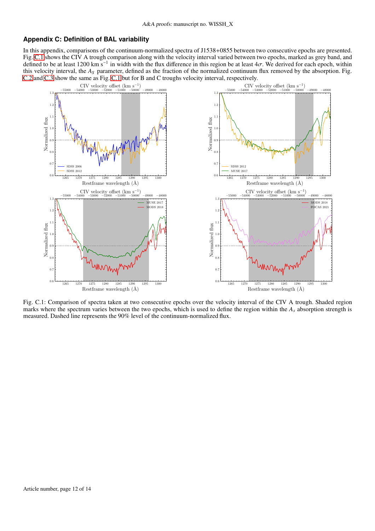## <span id="page-11-0"></span>**Appendix C: Definition of BAL variability**

In this appendix, comparisons of the continuum-normalized spectra of J1538+0855 between two consecutive epochs are presented. Fig. [C.1](#page-11-1) shows the CIV A trough comparison along with the velocity interval varied between two epochs, marked as grey band, and defined to be at least 1200 km s<sup>-1</sup> in width with the flux difference in this region be at least  $4\sigma$ . We derived for each epoch, within this velocity interval, the *A<sup>S</sup>* parameter, defined as the fraction of the normalized continuum flux removed by the absorption. Fig. [C.2](#page-12-0) and [C.3](#page-13-0) show the same as Fig. [C.1](#page-11-1) but for B and C troughs velocity interval, respectively.



<span id="page-11-1"></span>Fig. C.1: Comparison of spectra taken at two consecutive epochs over the velocity interval of the CIV A trough. Shaded region marks where the spectrum varies between the two epochs, which is used to define the region within the  $A_s$  absorption strength is measured. Dashed line represents the 90% level of the continuum-normalized flux.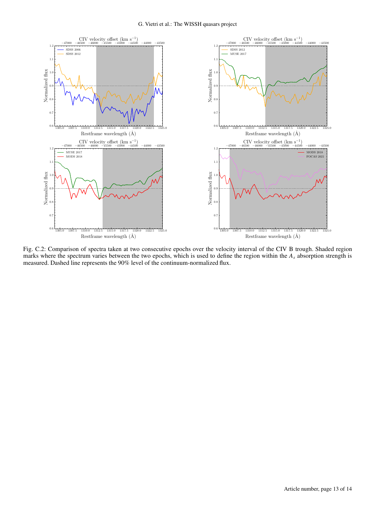

<span id="page-12-0"></span>Fig. C.2: Comparison of spectra taken at two consecutive epochs over the velocity interval of the CIV B trough. Shaded region marks where the spectrum varies between the two epochs, which is used to define the region within the *A<sup>s</sup>* absorption strength is measured. Dashed line represents the 90% level of the continuum-normalized flux.